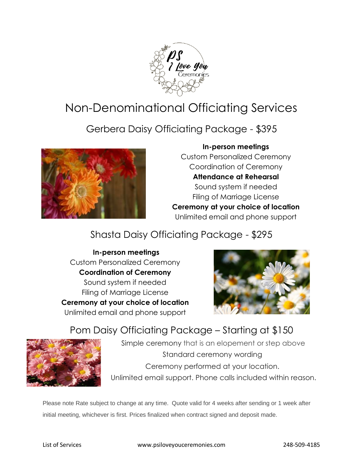

# Non-Denominational Officiating Services

Gerbera Daisy Officiating Package - \$395



#### **In-person meetings**

Custom Personalized Ceremony Coordination of Ceremony **Attendance at Rehearsal** Sound system if needed Filing of Marriage License **Ceremony at your choice of location** Unlimited email and phone support

### Shasta Daisy Officiating Package - \$295

**In-person meetings** Custom Personalized Ceremony **Coordination of Ceremony** Sound system if needed Filing of Marriage License **Ceremony at your choice of location** Unlimited email and phone support



Pom Daisy Officiating Package – Starting at \$150



Simple ceremony that is an elopement or step above Standard ceremony wording Ceremony performed at your location. Unlimited email support. Phone calls included within reason.

Please note Rate subject to change at any time. Quote valid for 4 weeks after sending or 1 week after initial meeting, whichever is first. Prices finalized when contract signed and deposit made.